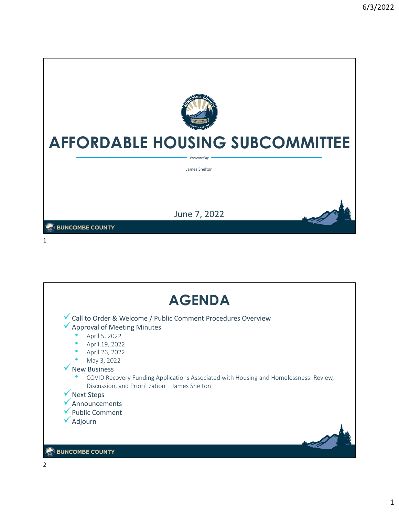

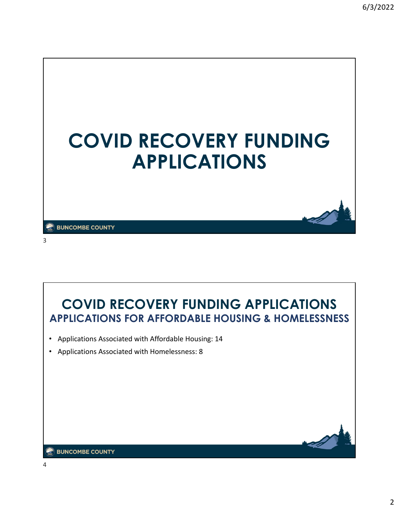





#### **EX BUNCOMBE COUNTY**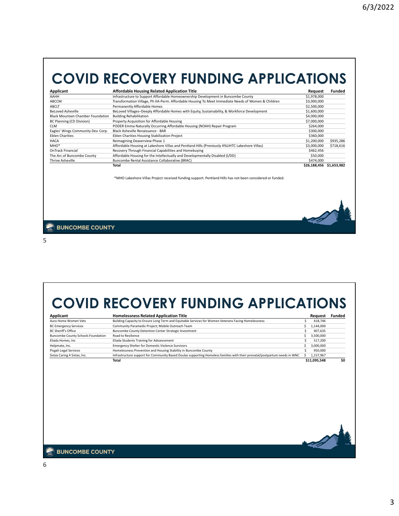# **COVID RECOVERY FUNDING APPLICATIONS**

| Applicant                                | Affordable Housing Related Application Title                                                        | Request                  | Funded    |
|------------------------------------------|-----------------------------------------------------------------------------------------------------|--------------------------|-----------|
| AAHH                                     | Infrastructure to Support Affordable Homeownership Development in Buncombe County                   | \$1,978,000              |           |
| ABCCM                                    | Transformation Village, Ph IIA-Perm. Affordable Housing To Meet Immediate Needs of Women & Children | \$3,000,000              |           |
| ABCLT                                    | Permanently Affordable Homes                                                                        | \$2,500,000              |           |
| <b>BeLoved Asheville</b>                 | BeLoved Villages-Deeply Affordable Homes with Equity, Sustainability, & Workforce Development       | \$1,600,000              |           |
| <b>Black Mountain Chamber Foundation</b> | <b>Building Rehabilitation</b>                                                                      | \$4,000,000              |           |
| BC Planning (CD Division)                | Property Acquisition for Affordable Housing                                                         | \$7,000,000              |           |
| <b>CLM</b>                               | PODER Emma Naturally Occurring Affordable Housing (NOAH) Repair Program                             | \$264,000                |           |
| Eagles' Wings Community Dev. Corp.       | Black Asheville Renaissance - BAR                                                                   | \$300,000                |           |
| <b>Eblen Charities</b>                   | Eblen Charities Housing Stabilization Project                                                       | \$360,000                |           |
| HACA                                     | Reimagining Deaverview Phase 1                                                                      | \$1,200,000              | \$935,286 |
| MHO <sup>*</sup>                         | Affordable Housing at Lakeshore Villas and Pentland Hills (Previously 4%LIHTC Lakeshore Villas)     | \$3,000,000              | \$718,616 |
| <b>OnTrack Financial</b>                 | Recovery Through Financial Capabilities and Homebuying                                              | \$462,456                |           |
| The Arc of Buncombe County               | Affordable Housing for the Intellectually and Developmentally Disabled (I/DD)                       | \$50,000                 |           |
| Thrive Asheville                         | Buncombe Rental Assistance Collaborative (BRAC)                                                     | \$474,000                |           |
|                                          | Total                                                                                               | \$26.188.456 \$1.653.982 |           |

\*MHO Lakeshore Villas Project received funding support. Pentland Hills has not been considered or funded.

**EX BUNCOMBE COUNTY** 

5

**COVID RECOVERY FUNDING APPLICATIONS**

| Applicant                                 | <b>Homelessness Related Application Title</b>                                                                              |     | Request   | <b>Funded</b> |
|-------------------------------------------|----------------------------------------------------------------------------------------------------------------------------|-----|-----------|---------------|
| Aura Home Women Vets                      | Building Capacity to Ensure Long Term and Equitable Services for Women Veterans Facing Homelessness                        | Ś   | 418,746   |               |
| <b>BC Emergency Services</b>              | Community Paramedic Project; Mobile Outreach Team                                                                          | Ś   | 1,144,000 |               |
| <b>BC Sheriff's Office</b>                | Buncombe County Detention Center Strategic Investment                                                                      |     | 407,635   |               |
| <b>Buncombe County Schools Foundation</b> | Road to Resilience                                                                                                         | Ś   | 3,500,000 |               |
| Eliada Homes, Inc.                        | Eliada Students Training for Advancement                                                                                   | Ś   | 517,200   |               |
| Helpmate, Inc.                            | <b>Emergency Shelter for Domestic Violence Survivors</b>                                                                   |     | 3,000,000 |               |
| Pisgah Legal Services                     | Homelessness Prevention and Housing Stability in Buncombe County                                                           |     | 950,000   |               |
| Sistas Caring 4 Sistas, Inc.              | Infrastructure support for Community Based Doulas supporting Homeless families with their prenatal/postpartum needs in WNC | \$. | 1,157,967 |               |
|                                           |                                                                                                                            |     |           |               |
|                                           |                                                                                                                            |     |           |               |
| <b>SUNCOMBE COUNTY</b>                    |                                                                                                                            |     |           |               |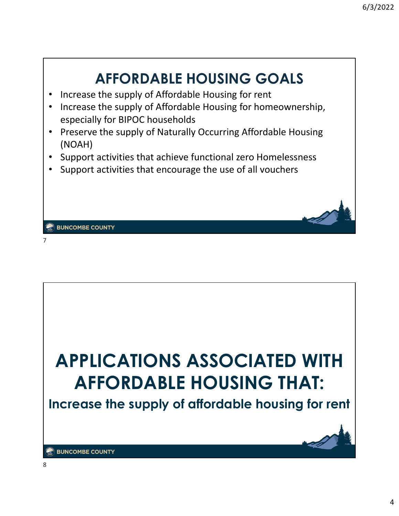

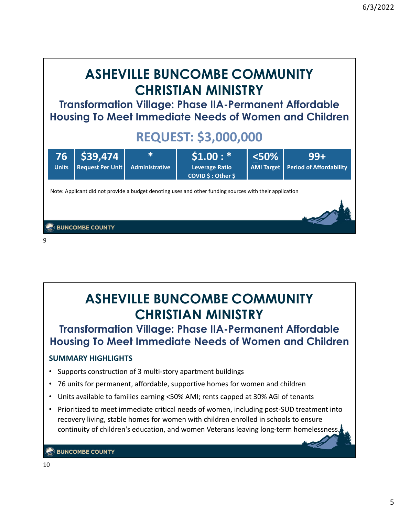

# **ASHEVILLE BUNCOMBE COMMUNITY CHRISTIAN MINISTRY**

### **Transformation Village: Phase IIA-Permanent Affordable Housing To Meet Immediate Needs of Women and Children**

### **SUMMARY HIGHLIGHTS**

- Supports construction of 3 multi‐story apartment buildings
- 76 units for permanent, affordable, supportive homes for women and children
- Units available to families earning <50% AMI; rents capped at 30% AGI of tenants
- Prioritized to meet immediate critical needs of women, including post-SUD treatment into recovery living, stable homes for women with children enrolled in schools to ensure continuity of children's education, and women Veterans leaving long-term homelessness.

**BUNCOMBE COUNTY**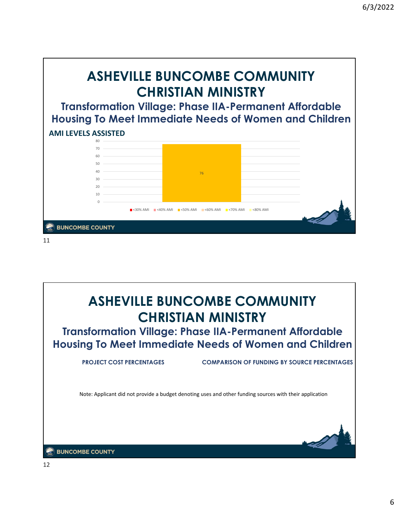



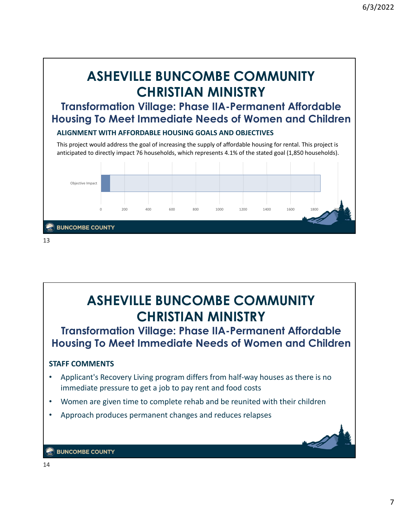

### **STAFF COMMENTS** • Applicant's Recovery Living program differs from half-way houses as there is no immediate pressure to get a job to pay rent and food costs **ASHEVILLE BUNCOMBE COMMUNITY CHRISTIAN MINISTRY Transformation Village: Phase IIA-Permanent Affordable Housing To Meet Immediate Needs of Women and Children**

- Women are given time to complete rehab and be reunited with their children
- Approach produces permanent changes and reduces relapses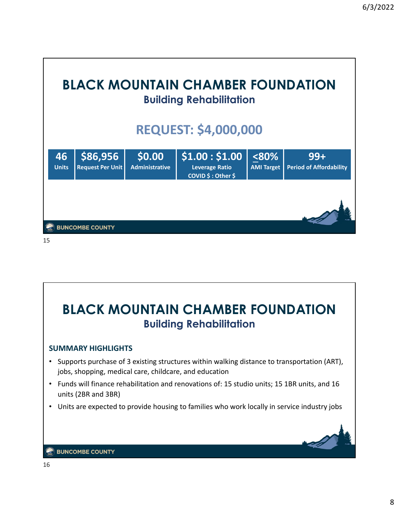



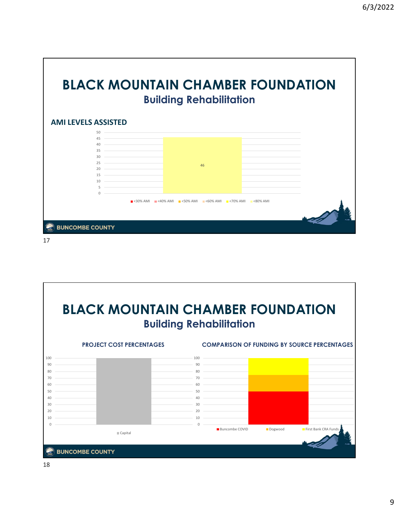|                            | <b>Building Rehabilitation</b>                                    |  |
|----------------------------|-------------------------------------------------------------------|--|
| <b>AMI LEVELS ASSISTED</b> |                                                                   |  |
| 50                         |                                                                   |  |
| 45                         |                                                                   |  |
| 40<br>35                   |                                                                   |  |
| 30                         |                                                                   |  |
| 25                         |                                                                   |  |
| $20 -$                     | 46                                                                |  |
| 15                         |                                                                   |  |
| 10 <sup>1</sup>            |                                                                   |  |
| 5<br>$\cap$                |                                                                   |  |
|                            | ■ <30% AMI ■ <40% AMI ■ <50% AMI ■ <60% AMI ■ <70% AMI ■ <80% AMI |  |
|                            |                                                                   |  |
|                            |                                                                   |  |

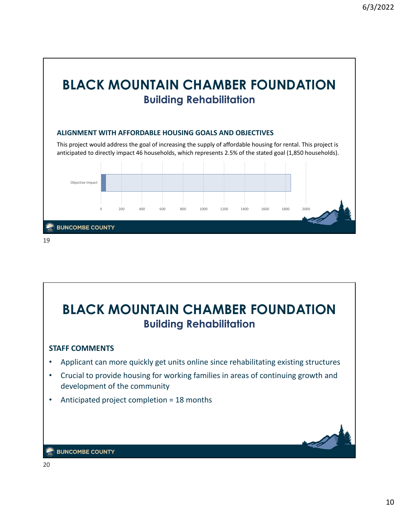

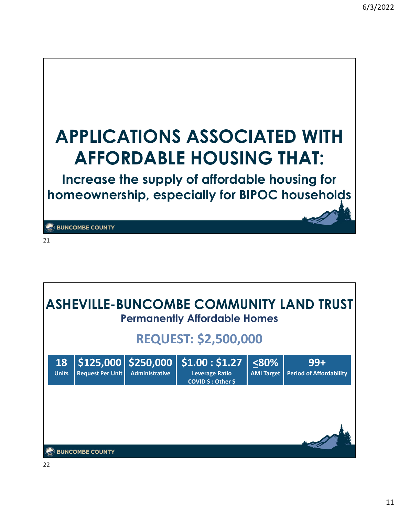

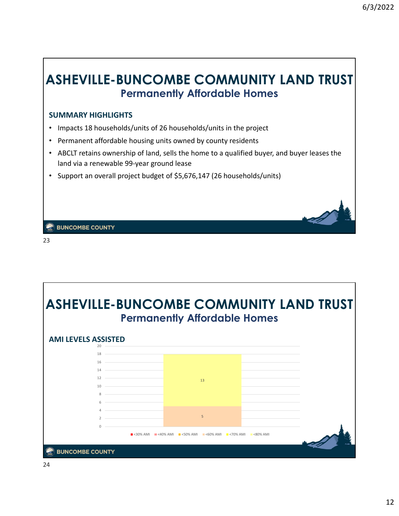### **ASHEVILLE-BUNCOMBE COMMUNITY LAND TRUST Permanently Affordable Homes**

#### **SUMMARY HIGHLIGHTS**

- Impacts 18 households/units of 26 households/units in the project
- Permanent affordable housing units owned by county residents
- ABCLT retains ownership of land, sells the home to a qualified buyer, and buyer leases the land via a renewable 99‐year ground lease
- Support an overall project budget of \$5,676,147 (26 households/units)

**BUNCOMBE COUNTY** 

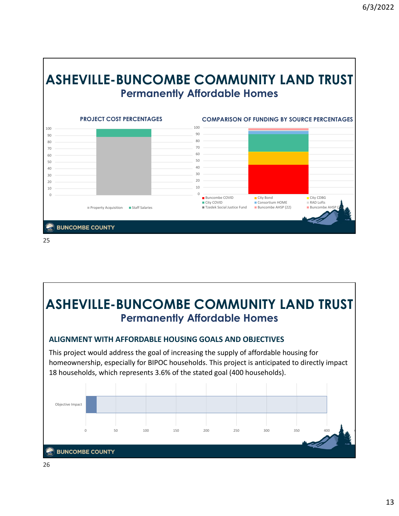

# **ASHEVILLE-BUNCOMBE COMMUNITY LAND TRUST Permanently Affordable Homes**

**ALIGNMENT WITH AFFORDABLE HOUSING GOALS AND OBJECTIVES**

This project would address the goal of increasing the supply of affordable housing for homeownership, especially for BIPOC households. This project is anticipated to directly impact households, which represents 3.6% of the stated goal (400 households).

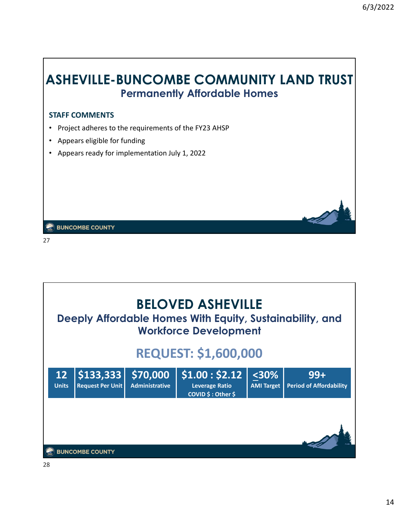### **ASHEVILLE-BUNCOMBE COMMUNITY LAND TRUST Permanently Affordable Homes**

### **STAFF COMMENTS**

- Project adheres to the requirements of the FY23 AHSP
- Appears eligible for funding
- Appears ready for implementation July 1, 2022

**BUNCOMBE COUNTY** 

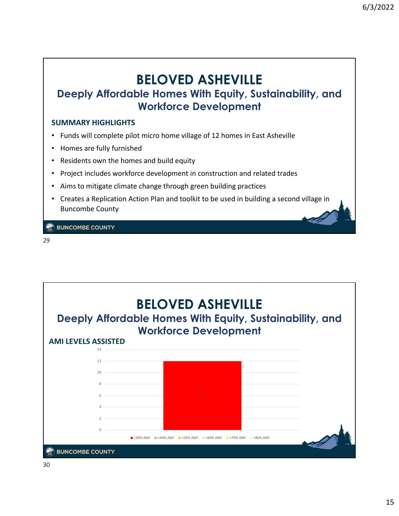# **BELOVED ASHEVILLE**

### **Deeply Affordable Homes With Equity, Sustainability, and Workforce Development**

### **SUMMARY HIGHLIGHTS**

- Funds will complete pilot micro home village of 12 homes in East Asheville
- Homes are fully furnished
- Residents own the homes and build equity
- Project includes workforce development in construction and related trades
- Aims to mitigate climate change through green building practices
- Creates a Replication Action Plan and toolkit to be used in building a second village in Buncombe County

**BUNCOMBE COUNTY** 

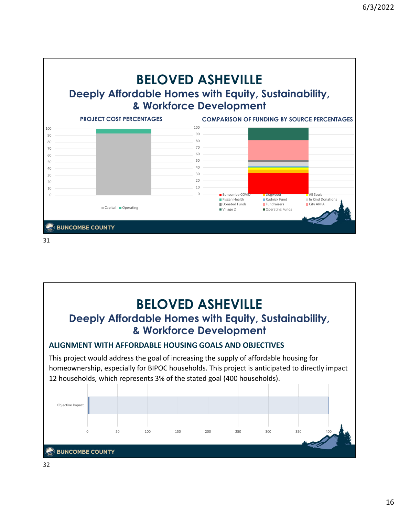



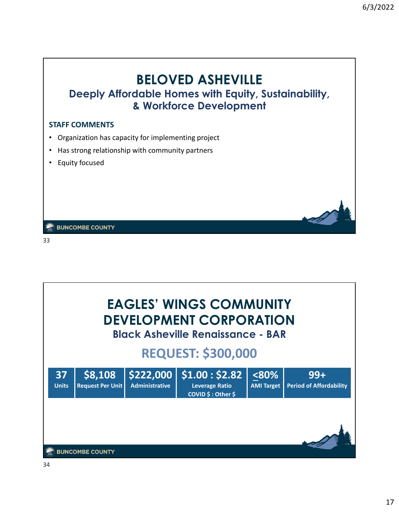### **BELOVED ASHEVILLE Deeply Affordable Homes with Equity, Sustainability, & Workforce Development**

#### **STAFF COMMENTS**

- Organization has capacity for implementing project
- Has strong relationship with community partners
- Equity focused

**BUNCOMBE COUNTY** 

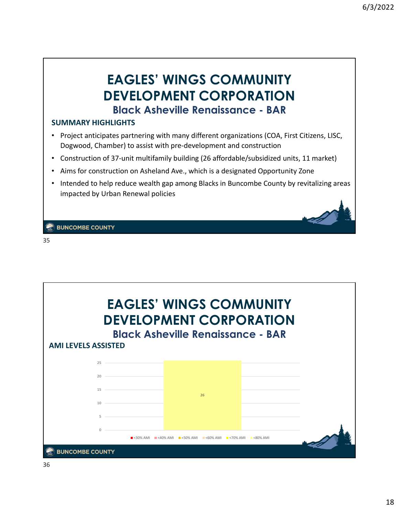### **EAGLES' WINGS COMMUNITY DEVELOPMENT CORPORATION Black Asheville Renaissance - BAR**

#### **SUMMARY HIGHLIGHTS**

- Project anticipates partnering with many different organizations (COA, First Citizens, LISC, Dogwood, Chamber) to assist with pre‐development and construction
- Construction of 37-unit multifamily building (26 affordable/subsidized units, 11 market)
- Aims for construction on Asheland Ave., which is a designated Opportunity Zone
- Intended to help reduce wealth gap among Blacks in Buncombe County by revitalizing areas impacted by Urban Renewal policies

**BUNCOMBE COUNTY** 

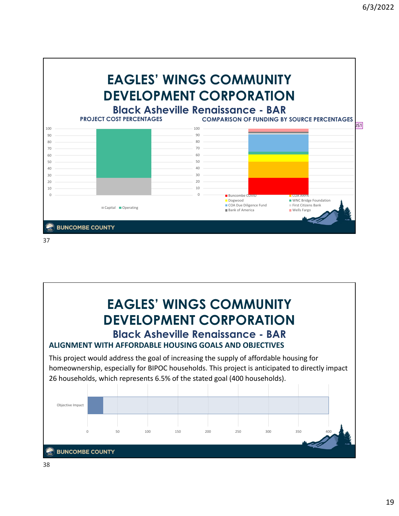



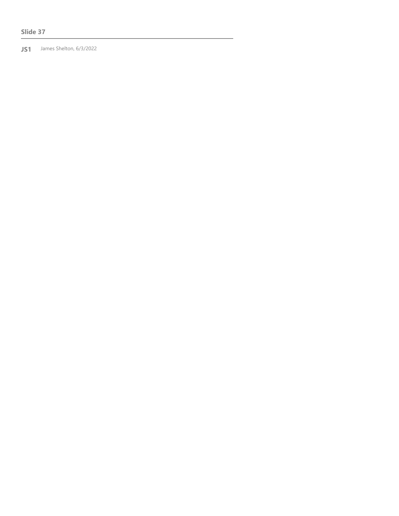#### **Slide 37**

**JS1** James Shelton, 6/3/2022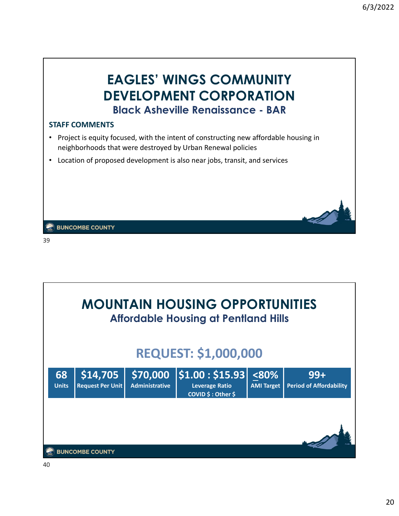### **EAGLES' WINGS COMMUNITY DEVELOPMENT CORPORATION Black Asheville Renaissance - BAR**

#### **STAFF COMMENTS**

- Project is equity focused, with the intent of constructing new affordable housing in neighborhoods that were destroyed by Urban Renewal policies
- Location of proposed development is also near jobs, transit, and services

**BUNCOMBE COUNTY** 

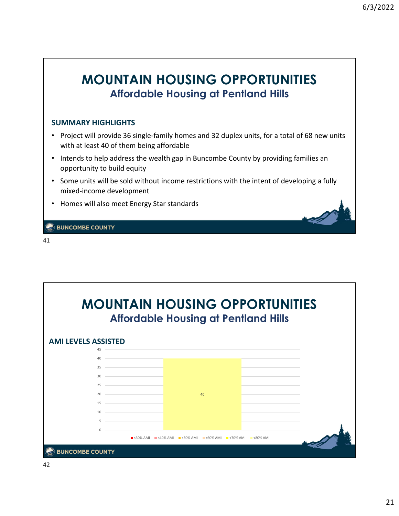### **MOUNTAIN HOUSING OPPORTUNITIES Affordable Housing at Pentland Hills**

#### **SUMMARY HIGHLIGHTS**

- Project will provide 36 single-family homes and 32 duplex units, for a total of 68 new units with at least 40 of them being affordable
- Intends to help address the wealth gap in Buncombe County by providing families an opportunity to build equity
- Some units will be sold without income restrictions with the intent of developing a fully mixed‐income development
- Homes will also meet Energy Star standards

**EX BUNCOMBE COUNTY** 

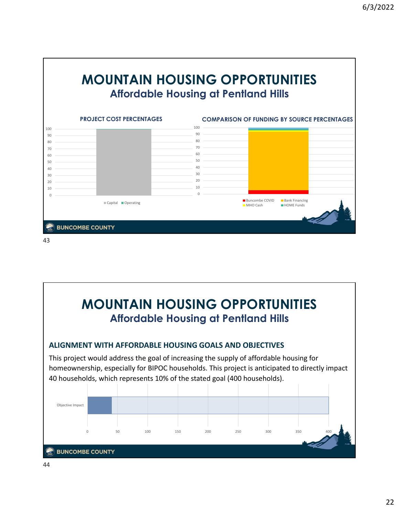

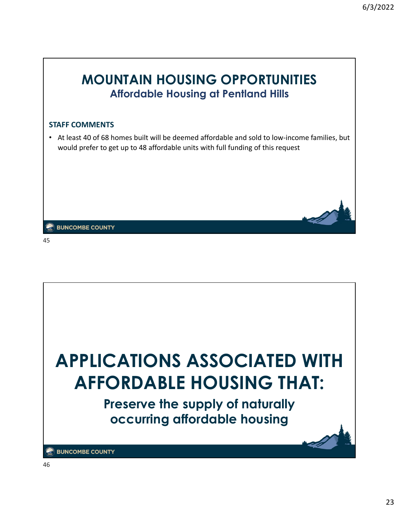



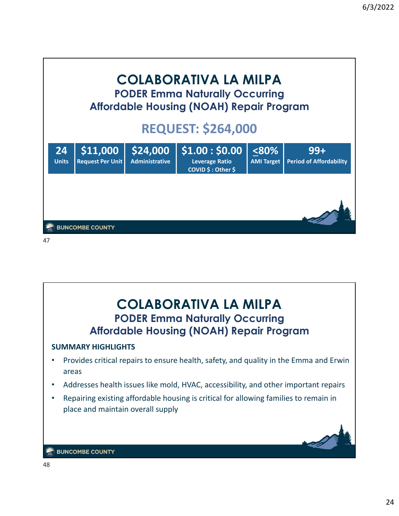

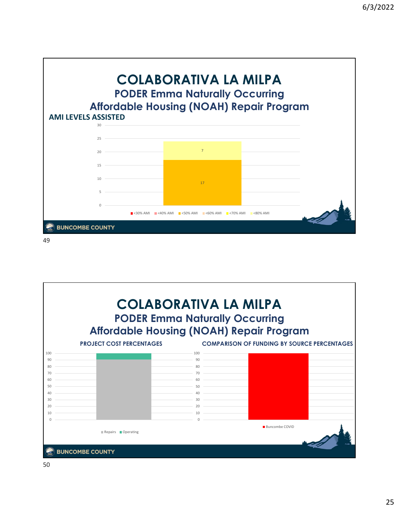

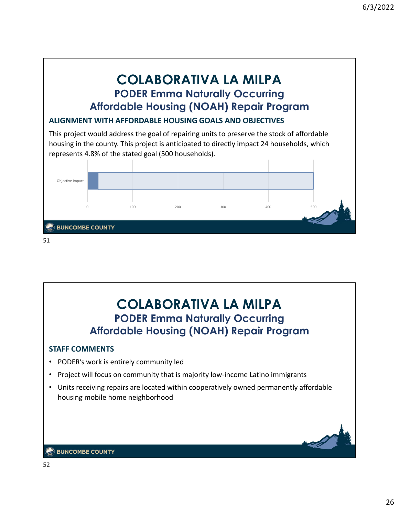### **COLABORATIVA LA MILPA PODER Emma Naturally Occurring Affordable Housing (NOAH) Repair Program**

### **ALIGNMENT WITH AFFORDABLE HOUSING GOALS AND OBJECTIVES**

This project would address the goal of repairing units to preserve the stock of affordable housing in the county. This project is anticipated to directly impact 24 households, which represents 4.8% of the stated goal (500 households).



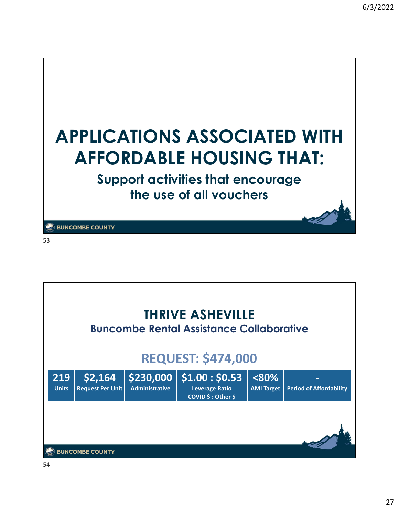

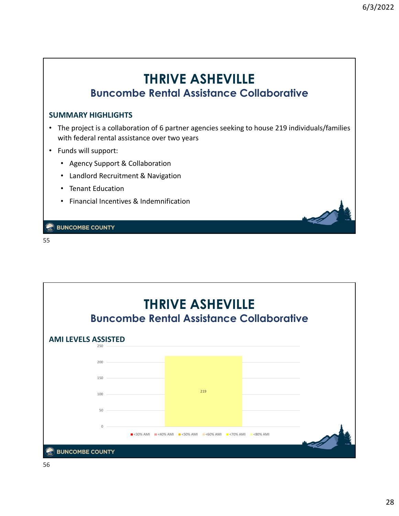### **THRIVE ASHEVILLE Buncombe Rental Assistance Collaborative**

#### **SUMMARY HIGHLIGHTS**

- The project is a collaboration of 6 partner agencies seeking to house 219 individuals/families with federal rental assistance over two years
- Funds will support:
	- Agency Support & Collaboration
	- Landlord Recruitment & Navigation
	- Tenant Education
	- Financial Incentives & Indemnification

**BUNCOMBE COUNTY** 

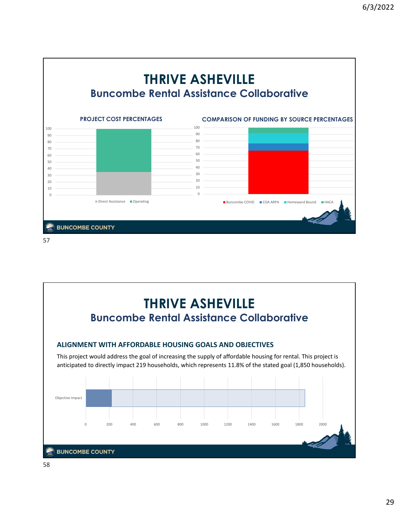



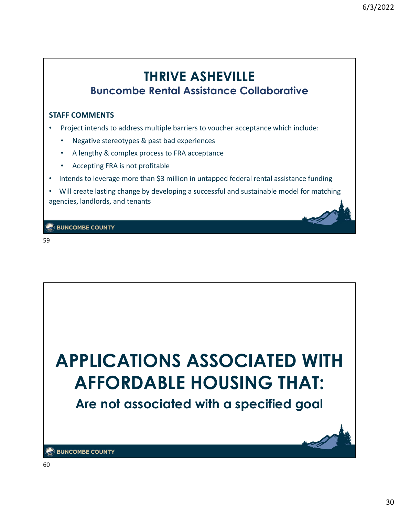### **THRIVE ASHEVILLE Buncombe Rental Assistance Collaborative**

#### **STAFF COMMENTS**

- Project intends to address multiple barriers to voucher acceptance which include:
	- Negative stereotypes & past bad experiences
	- A lengthy & complex process to FRA acceptance
	- Accepting FRA is not profitable
- Intends to leverage more than \$3 million in untapped federal rental assistance funding
- Will create lasting change by developing a successful and sustainable model for matching agencies, landlords, and tenants

**BUNCOMBE COUNTY** 

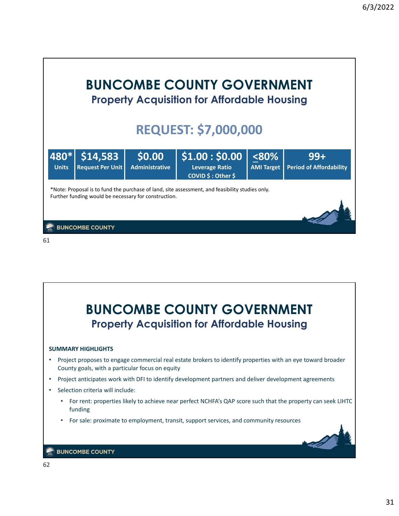

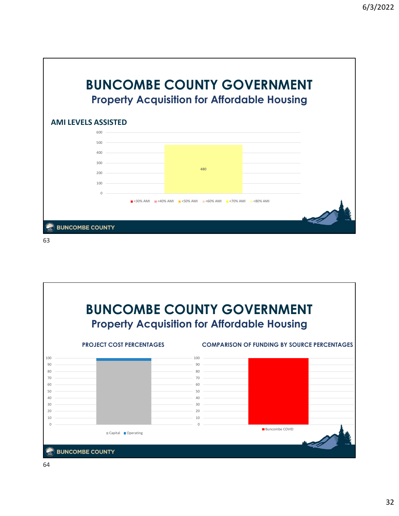

![](_page_32_Figure_2.jpeg)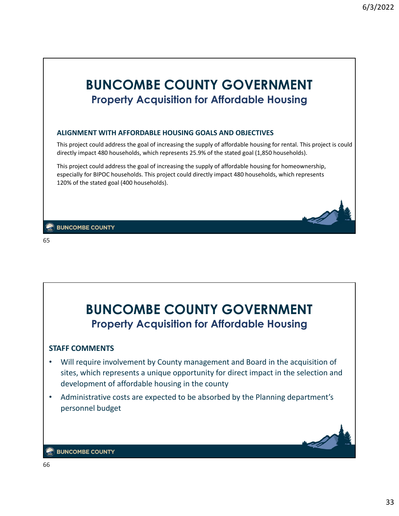![](_page_33_Picture_1.jpeg)

![](_page_33_Picture_3.jpeg)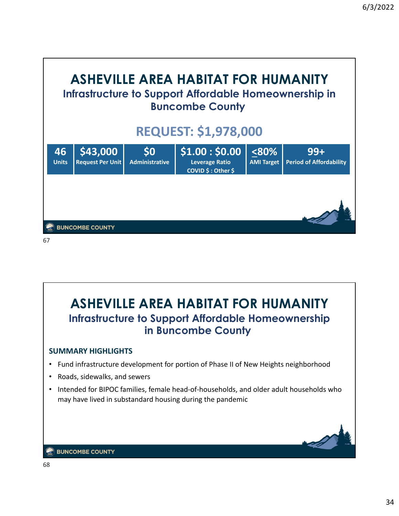![](_page_34_Picture_1.jpeg)

![](_page_34_Picture_2.jpeg)

![](_page_34_Picture_3.jpeg)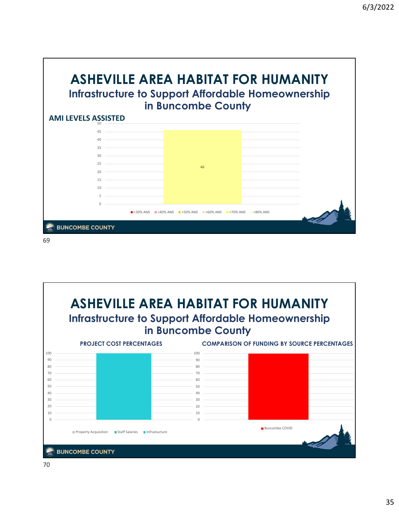![](_page_35_Figure_1.jpeg)

![](_page_35_Figure_2.jpeg)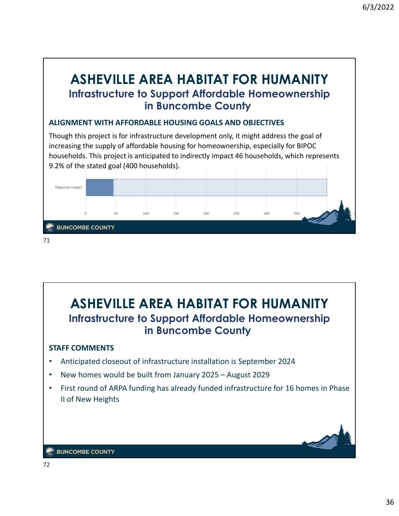### **ASHEVILLE AREA HABITAT FOR HUMANITY Infrastructure to Support Affordable Homeownership in Buncombe County**

### **ALIGNMENT WITH AFFORDABLE HOUSING GOALS AND OBJECTIVES**

Though this project is for infrastructure development only, it might address the goal of increasing the supply of affordable housing for homeownership, especially for BIPOC households. This project is anticipated to indirectly impact 46 households, which represents 9.2% of the stated goal (400 households).

![](_page_36_Figure_4.jpeg)

![](_page_36_Picture_5.jpeg)

![](_page_36_Picture_6.jpeg)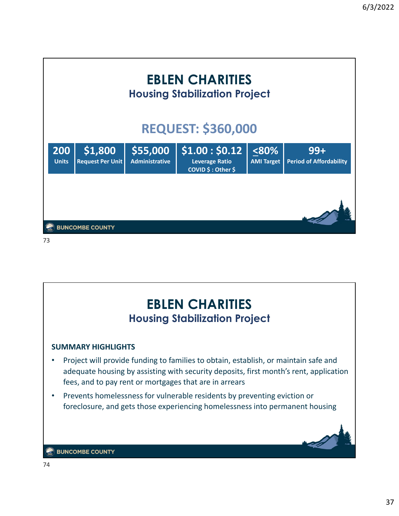![](_page_37_Figure_1.jpeg)

![](_page_37_Picture_2.jpeg)

![](_page_37_Picture_3.jpeg)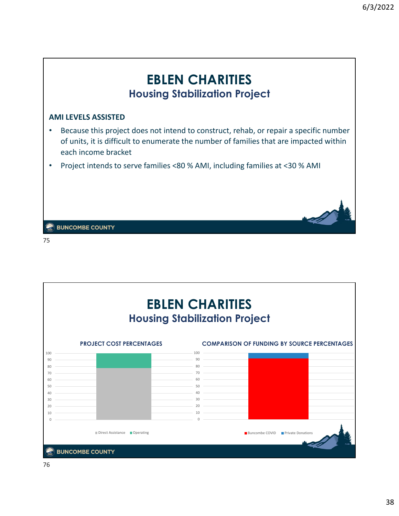![](_page_38_Picture_1.jpeg)

![](_page_38_Figure_3.jpeg)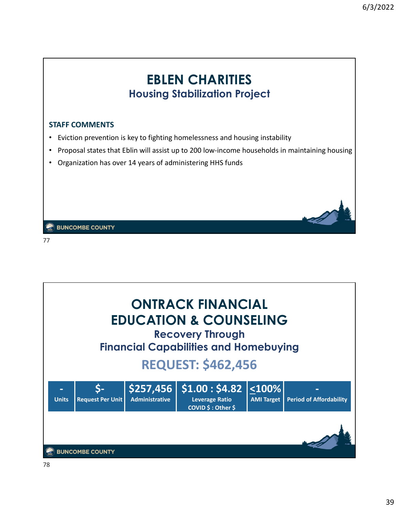### **EBLEN CHARITIES Housing Stabilization Project**

#### **STAFF COMMENTS**

- Eviction prevention is key to fighting homelessness and housing instability
- Proposal states that Eblin will assist up to 200 low-income households in maintaining housing
- Organization has over 14 years of administering HHS funds

**BUNCOMBE COUNTY** 

![](_page_39_Picture_8.jpeg)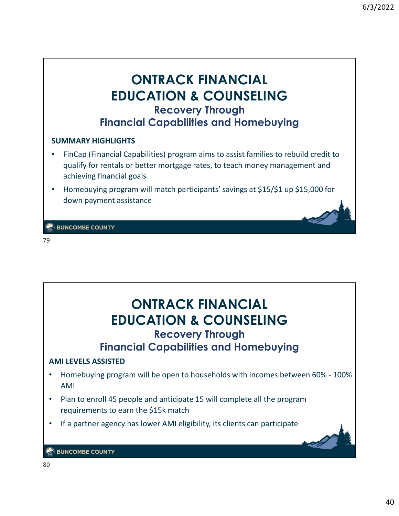### **ONTRACK FINANCIAL EDUCATION & COUNSELING Recovery Through Financial Capabilities and Homebuying**

#### **SUMMARY HIGHLIGHTS**

- FinCap (Financial Capabilities) program aims to assist families to rebuild credit to qualify for rentals or better mortgage rates, to teach money management and achieving financial goals
- Homebuying program will match participants' savings at \$15/\$1 up \$15,000 for down payment assistance

**BUNCOMBE COUNTY** 

![](_page_40_Picture_7.jpeg)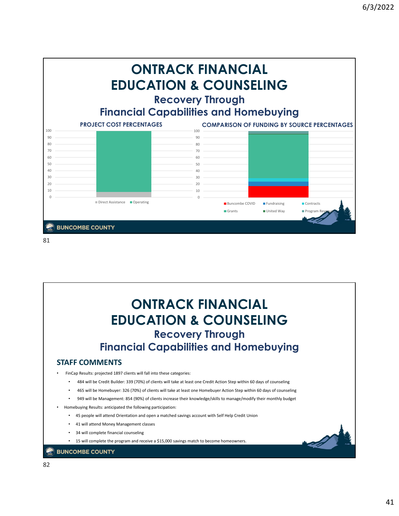![](_page_41_Figure_1.jpeg)

![](_page_41_Picture_2.jpeg)

![](_page_41_Picture_3.jpeg)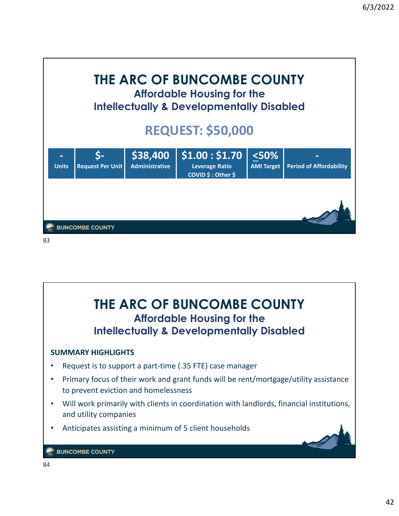![](_page_42_Figure_1.jpeg)

![](_page_42_Picture_2.jpeg)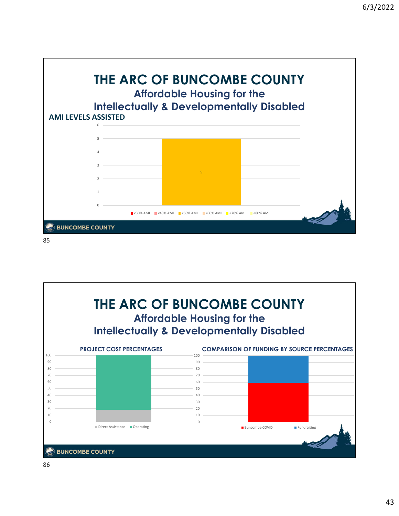![](_page_43_Figure_1.jpeg)

![](_page_43_Figure_2.jpeg)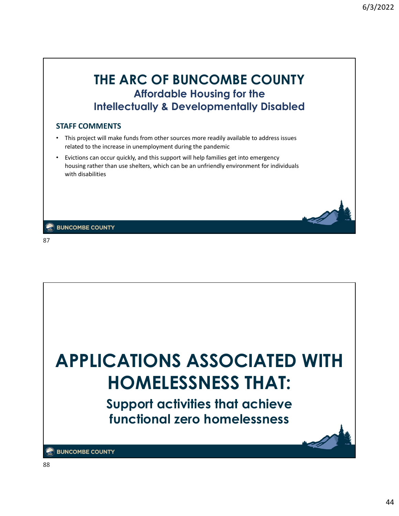### **THE ARC OF BUNCOMBE COUNTY Affordable Housing for the Intellectually & Developmentally Disabled**

#### **STAFF COMMENTS**

- This project will make funds from other sources more readily available to address issues related to the increase in unemployment during the pandemic
- Evictions can occur quickly, and this support will help families get into emergency housing rather than use shelters, which can be an unfriendly environment for individuals with disabilities

**BUNCOMBE COUNTY** 

![](_page_44_Picture_7.jpeg)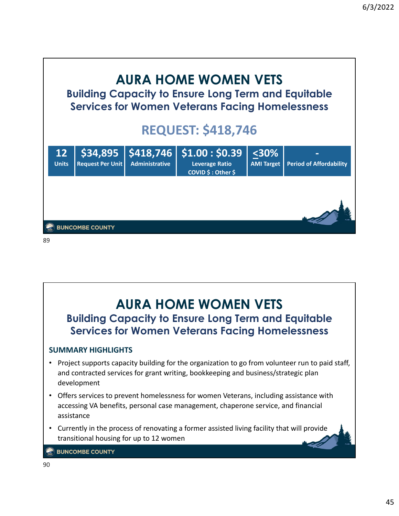![](_page_45_Picture_1.jpeg)

### **AURA HOME WOMEN VETS Building Capacity to Ensure Long Term and Equitable Services for Women Veterans Facing Homelessness SUMMARY HIGHLIGHTS** • Project supports capacity building for the organization to go from volunteer run to paid staff, and contracted services for grant writing, bookkeeping and business/strategic plan development • Offers services to prevent homelessness for women Veterans, including assistance with accessing VA benefits, personal case management, chaperone service, and financial assistance • Currently in the process of renovating a former assisted living facility that will provide transitional housing for up to 12 women **BUNCOMBE COUNTY**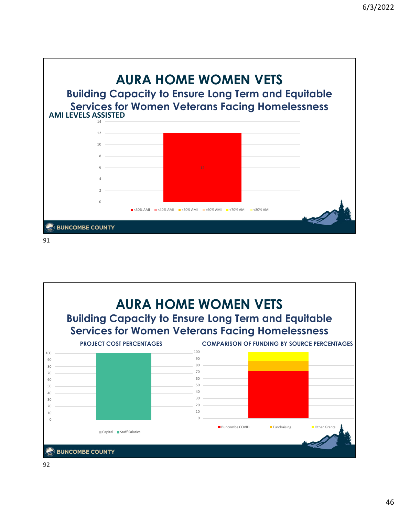![](_page_46_Figure_1.jpeg)

![](_page_46_Figure_2.jpeg)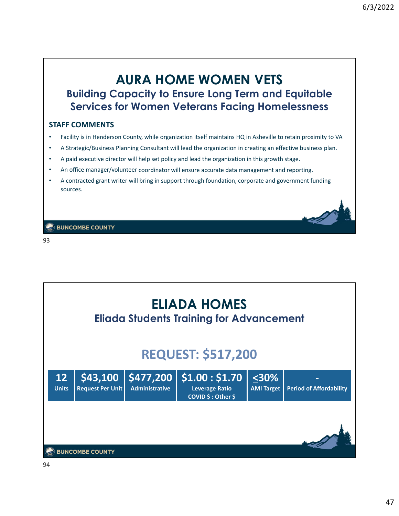### **AURA HOME WOMEN VETS Building Capacity to Ensure Long Term and Equitable Services for Women Veterans Facing Homelessness**

#### **STAFF COMMENTS**

- Facility is in Henderson County, while organization itself maintains HQ in Asheville to retain proximity to VA
- A Strategic/Business Planning Consultant will lead the organization in creating an effective business plan.
- A paid executive director will help set policy and lead the organization in this growth stage.
- An office manager/volunteer coordinator will ensure accurate data management and reporting.
- A contracted grant writer will bring in support through foundation, corporate and government funding sources.

**BUNCOMBE COUNTY** 

![](_page_47_Picture_10.jpeg)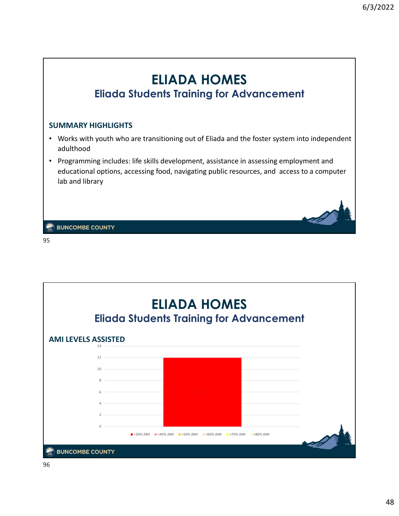![](_page_48_Figure_1.jpeg)

![](_page_48_Figure_3.jpeg)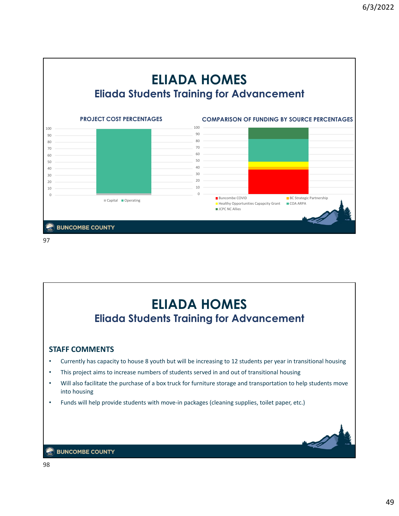![](_page_49_Figure_1.jpeg)

![](_page_49_Figure_2.jpeg)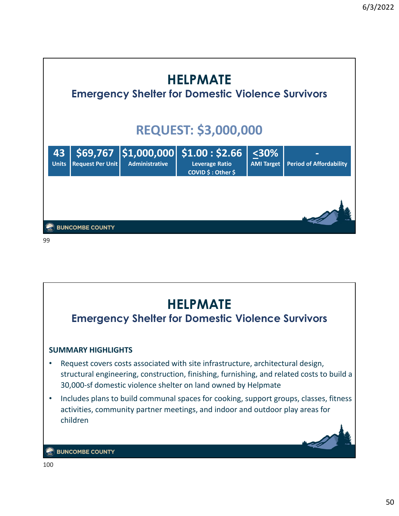![](_page_50_Figure_1.jpeg)

![](_page_50_Figure_2.jpeg)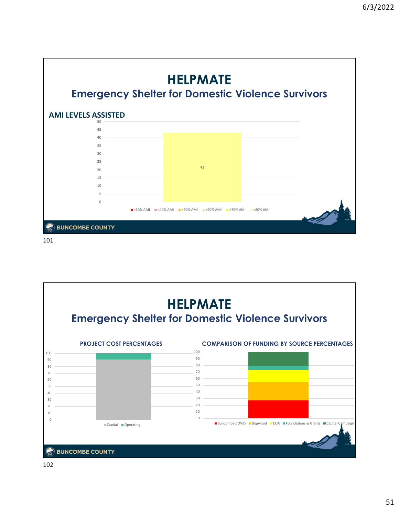![](_page_51_Figure_1.jpeg)

![](_page_51_Figure_2.jpeg)

![](_page_51_Figure_3.jpeg)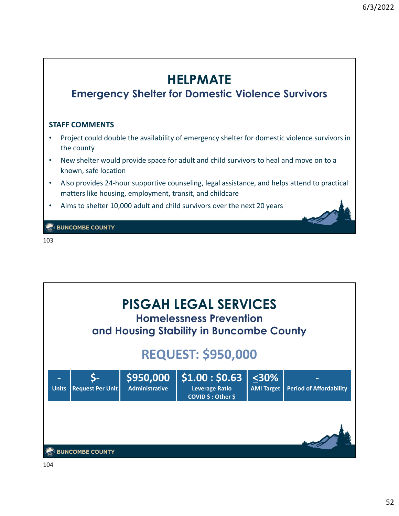![](_page_52_Figure_1.jpeg)

![](_page_52_Picture_3.jpeg)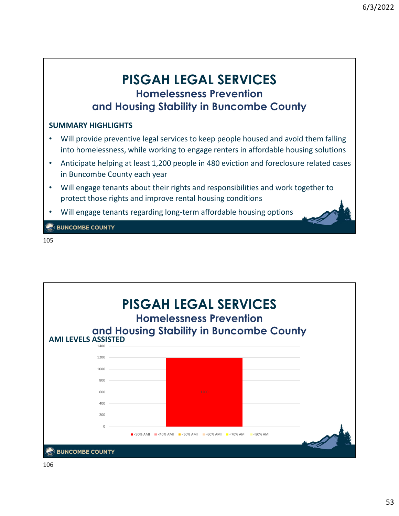### **PISGAH LEGAL SERVICES Homelessness Prevention and Housing Stability in Buncombe County**

### **SUMMARY HIGHLIGHTS**

- Will provide preventive legal services to keep people housed and avoid them falling into homelessness, while working to engage renters in affordable housing solutions
- Anticipate helping at least 1,200 people in 480 eviction and foreclosure related cases in Buncombe County each year
- Will engage tenants about their rights and responsibilities and work together to protect those rights and improve rental housing conditions
- Will engage tenants regarding long‐term affordable housing options

**BUNCOMBE COUNTY** 

![](_page_53_Figure_9.jpeg)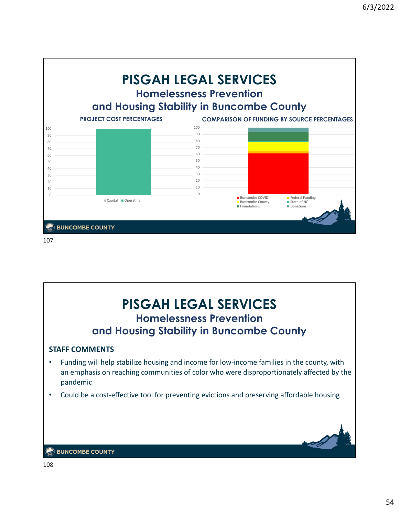![](_page_54_Figure_1.jpeg)

![](_page_54_Picture_2.jpeg)

![](_page_54_Picture_3.jpeg)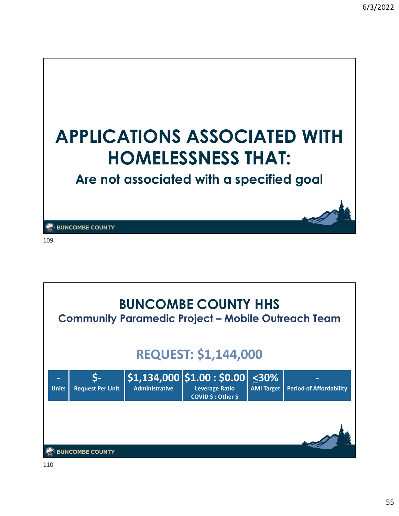![](_page_55_Picture_1.jpeg)

![](_page_55_Picture_3.jpeg)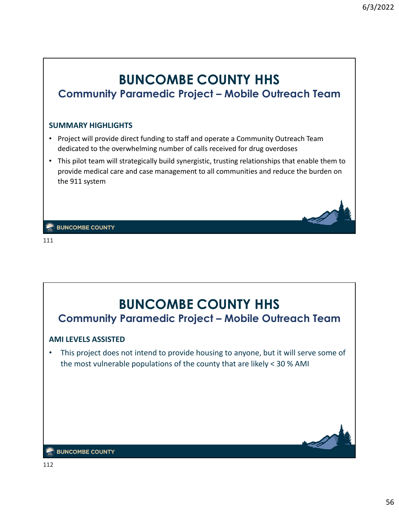### **BUNCOMBE COUNTY HHS Community Paramedic Project – Mobile Outreach Team**

#### **SUMMARY HIGHLIGHTS**

- Project will provide direct funding to staff and operate a Community Outreach Team dedicated to the overwhelming number of calls received for drug overdoses
- This pilot team will strategically build synergistic, trusting relationships that enable them to provide medical care and case management to all communities and reduce the burden on the 911 system

**BUNCOMBE COUNTY** 

![](_page_56_Picture_7.jpeg)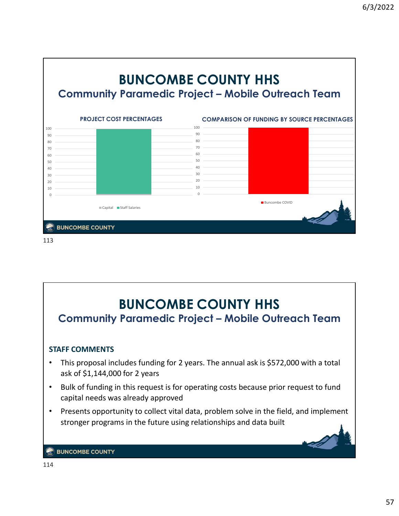![](_page_57_Figure_1.jpeg)

![](_page_57_Figure_2.jpeg)

![](_page_57_Picture_3.jpeg)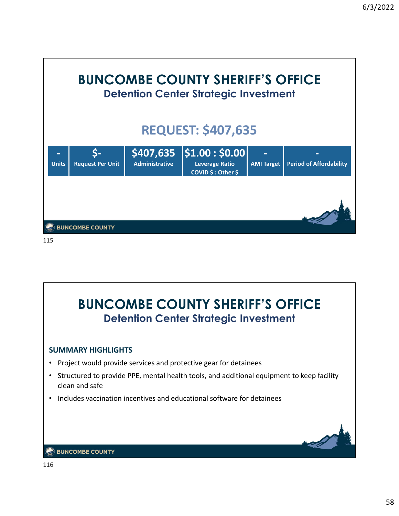![](_page_58_Figure_1.jpeg)

![](_page_58_Figure_2.jpeg)

![](_page_58_Picture_3.jpeg)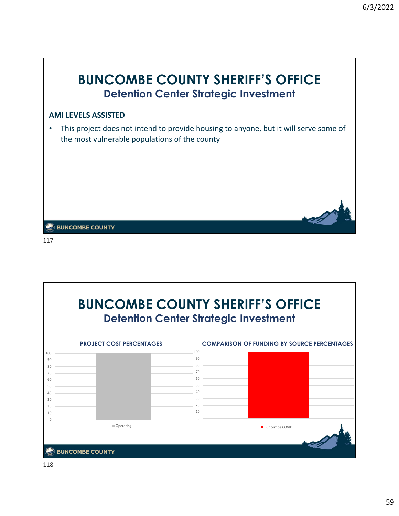![](_page_59_Picture_1.jpeg)

![](_page_59_Figure_3.jpeg)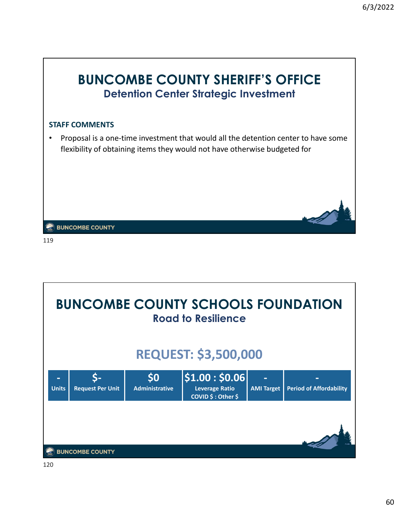![](_page_60_Picture_1.jpeg)

**BUNCOMBE COUNTY SCHOOLS FOUNDATION Road to Resilience REQUEST: \$3,500,000 ‐ \$‐ \$0 \$1.00 : \$0.06 ‐ ‐ Units Request Per Unit AMI Target Period of Affordability COVID \$ : Other \$ BUNCOMBE COUNTY**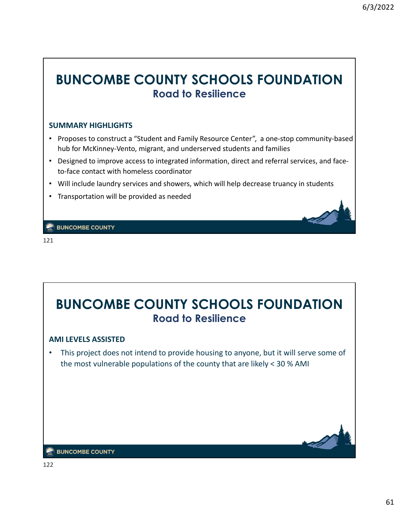### **BUNCOMBE COUNTY SCHOOLS FOUNDATION Road to Resilience**

#### **SUMMARY HIGHLIGHTS**

- Proposes to construct a "Student and Family Resource Center", a one-stop community-based hub for McKinney‐Vento, migrant, and underserved students and families
- Designed to improve access to integrated information, direct and referral services, and face‐ to‐face contact with homeless coordinator
- Will include laundry services and showers, which will help decrease truancy in students
- Transportation will be provided as needed

**EX BUNCOMBE COUNTY** 

121

# **BUNCOMBE COUNTY SCHOOLS FOUNDATION Road to Resilience**

#### **AMI LEVELS ASSISTED**

• This project does not intend to provide housing to anyone, but it will serve some of the most vulnerable populations of the county that are likely < 30 % AMI

![](_page_61_Picture_12.jpeg)

#### **BUNCOMBE COUNTY**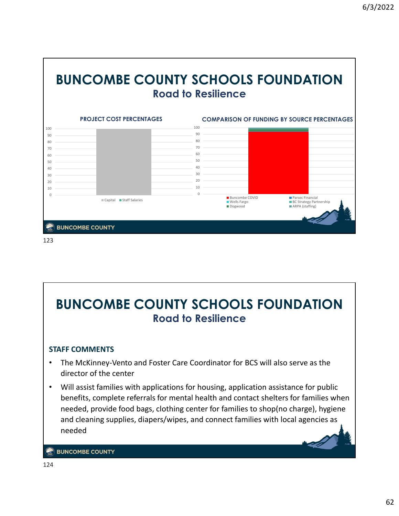![](_page_62_Figure_1.jpeg)

![](_page_62_Figure_2.jpeg)

# **BUNCOMBE COUNTY SCHOOLS FOUNDATION Road to Resilience**

### **STAFF COMMENTS**

- The McKinney‐Vento and Foster Care Coordinator for BCS will also serve as the director of the center
- Will assist families with applications for housing, application assistance for public benefits, complete referrals for mental health and contact shelters for families when needed, provide food bags, clothing center for families to shop(no charge), hygiene and cleaning supplies, diapers/wipes, and connect families with local agencies as needed

**BUNCOMBE COUNTY**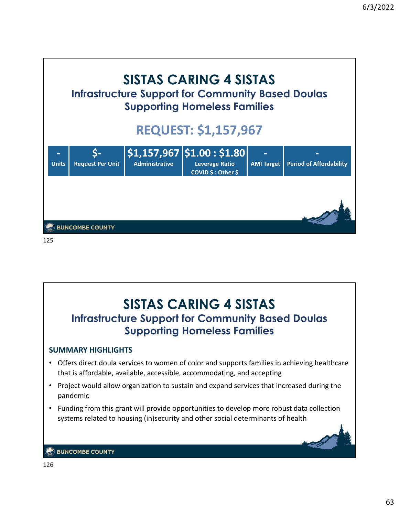![](_page_63_Picture_1.jpeg)

![](_page_63_Picture_2.jpeg)

![](_page_63_Picture_3.jpeg)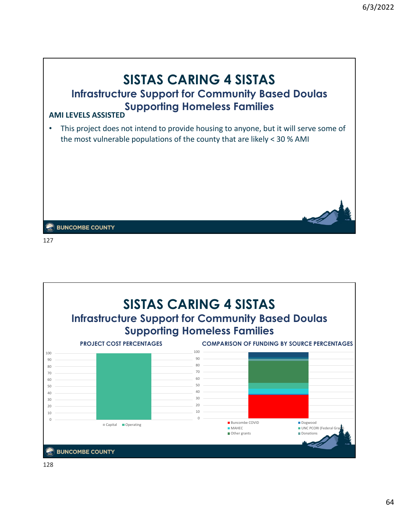![](_page_64_Picture_1.jpeg)

![](_page_64_Figure_2.jpeg)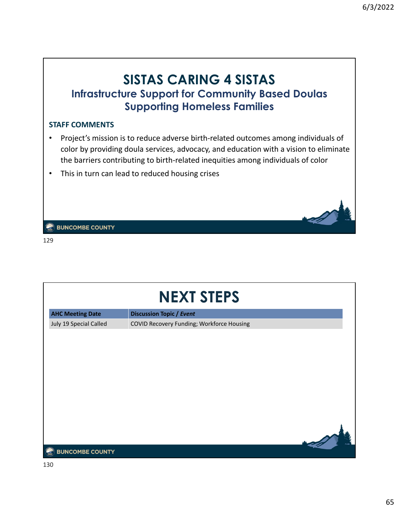### **SISTAS CARING 4 SISTAS Infrastructure Support for Community Based Doulas Supporting Homeless Families**

#### **STAFF COMMENTS**

- Project's mission is to reduce adverse birth‐related outcomes among individuals of color by providing doula services, advocacy, and education with a vision to eliminate the barriers contributing to birth‐related inequities among individuals of color
- This in turn can lead to reduced housing crises

**EX BUNCOMBE COUNTY** 

| <b>NEXT STEPS</b>       |                                           |  |  |  |  |
|-------------------------|-------------------------------------------|--|--|--|--|
| <b>AHC Meeting Date</b> | <b>Discussion Topic / Event</b>           |  |  |  |  |
| July 19 Special Called  | COVID Recovery Funding; Workforce Housing |  |  |  |  |
|                         |                                           |  |  |  |  |
|                         |                                           |  |  |  |  |
|                         |                                           |  |  |  |  |
|                         |                                           |  |  |  |  |
|                         |                                           |  |  |  |  |
|                         |                                           |  |  |  |  |
|                         |                                           |  |  |  |  |
|                         |                                           |  |  |  |  |
|                         |                                           |  |  |  |  |
| <b>BUNCOMBE COUNTY</b>  |                                           |  |  |  |  |